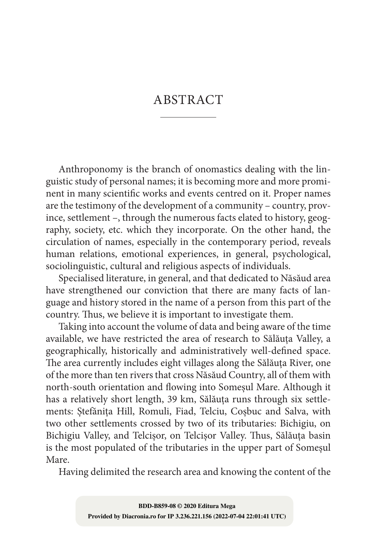## ABSTRACT

Anthroponomy is the branch of onomastics dealing with the linguistic study of personal names; it is becoming more and more promi‑ nent in many scientific works and events centred on it. Proper names are the testimony of the development of a community – country, province, settlement –, through the numerous facts elated to history, geography, society, etc. which they incorporate. On the other hand, the circulation of names, especially in the contemporary period, reveals human relations, emotional experiences, in general, psychological, sociolinguistic, cultural and religious aspects of individuals.

Specialised literature, in general, and that dedicated to Năsăud area have strengthened our conviction that there are many facts of language and history stored in the name of a person from this part of the country. Thus, we believe it is important to investigate them.

Taking into account the volume of data and being aware of the time available, we have restricted the area of research to Sălăuța Valley, a geographically, historically and administratively well‑defined space. The area currently includes eight villages along the Sălăuța River, one of the more than ten rivers that cross Năsăud Country, all of them with north‑south orientation and flowing into Someșul Mare. Although it has a relatively short length, 39 km, Sălăuța runs through six settlements: Ștefănița Hill, Romuli, Fiad, Telciu, Coșbuc and Salva, with two other settlements crossed by two of its tributaries: Bichigiu, on Bichigiu Valley, and Telcișor, on Telcișor Valley. Thus, Sălăuța basin is the most populated of the tributaries in the upper part of Someșul Mare.

Having delimited the research area and knowing the content of the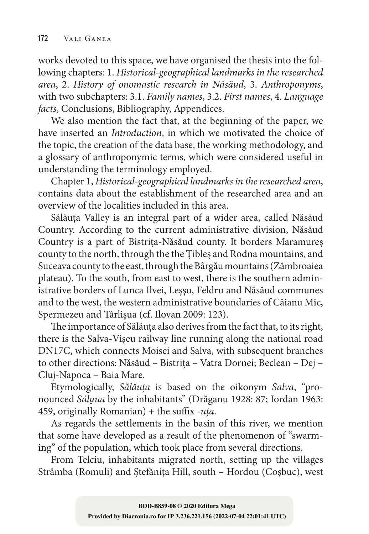works devoted to this space, we have organised the thesis into the following chapters: 1. *Historical-geographical landmarks in the researched area*, 2. *History of onomastic research in Năsăud*, 3. *Anthroponyms*, with two subchapters: 3.1. *Family names*, 3.2. *First names*, 4. *Language facts*, Conclusions, Bibliography, Appendices.

We also mention the fact that, at the beginning of the paper, we have inserted an *Introduction*, in which we motivated the choice of the topic, the creation of the data base, the working methodology, and a glossary of anthroponymic terms, which were considered useful in understanding the terminology employed.

Chapter 1, *Historical-geographical landmarks in the researched area*, contains data about the establishment of the researched area and an overview of the localities included in this area.

Sălăuța Valley is an integral part of a wider area, called Năsăud Country. According to the current administrative division, Năsăud Country is a part of Bistrița‑Năsăud county. It borders Maramureș county to the north, through the the Țibleș and Rodna mountains, and Suceava county to the east, through the Bârgău mountains (Zâmbroaiea plateau). To the south, from east to west, there is the southern administrative borders of Lunca Ilvei, Leșşu, Feldru and Năsăud communes and to the west, the western administrative boundaries of Căianu Mic, Spermezeu and Târlișua (cf. Ilovan 2009: 123).

The importance of Sălăuța also derives from the fact that, to its right, there is the Salva‑Vișeu railway line running along the national road DN17C, which connects Moisei and Salva, with subsequent branches to other directions: Năsăud – Bistrița – Vatra Dornei; Beclean – Dej – Cluj‑Napoca – Baia Mare.

Etymologically, *Sălăuța* is based on the oikonym *Salva*, "pro‑ nounced *Sálṷua* by the inhabitants" (Drăganu 1928: 87; Iordan 1963: 459, originally Romanian) + the suffix ‑*uța*.

As regards the settlements in the basin of this river, we mention that some have developed as a result of the phenomenon of "swarming" of the population, which took place from several directions.

From Telciu, inhabitants migrated north, setting up the villages Strâmba (Romuli) and Ștefănița Hill, south – Hordou (Coșbuc), west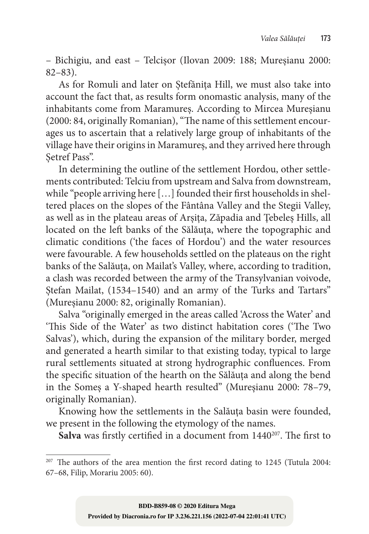– Bichigiu, and east – Telcișor (Ilovan 2009: 188; Mureșianu 2000: 82–83).

As for Romuli and later on Ștefănița Hill, we must also take into account the fact that, as results form onomastic analysis, many of the inhabitants come from Maramureș. According to Mircea Mureșianu (2000: 84, originally Romanian), "The name of this settlement encourages us to ascertain that a relatively large group of inhabitants of the village have their origins in Maramureș, and they arrived here through Setref Pass".

In determining the outline of the settlement Hordou, other settlements contributed: Telciu from upstream and Salva from downstream, while "people arriving here [...] founded their first households in sheltered places on the slopes of the Fântâna Valley and the Stegii Valley, as well as in the plateau areas of Arșița, Zăpadia and Țebeleș Hills, all located on the left banks of the Sălăuța, where the topographic and climatic conditions ('the faces of Hordou') and the water resources were favourable. A few households settled on the plateaus on the right banks of the Salăuța, on Mailat's Valley, where, according to tradition, a clash was recorded between the army of the Transylvanian voivode, Stefan Mailat, (1534–1540) and an army of the Turks and Tartars" (Mureşianu 2000: 82, originally Romanian).

Salva "originally emerged in the areas called 'Across the Water' and 'This Side of the Water' as two distinct habitation cores ('The Two Salvas'), which, during the expansion of the military border, merged and generated a hearth similar to that existing today, typical to large rural settlements situated at strong hydrographic confluences. From the specific situation of the hearth on the Sălăuța and along the bend in the Someș a Y‑shaped hearth resulted" (Mureşianu 2000: 78–79, originally Romanian).

Knowing how the settlements in the Salăuța basin were founded, we present in the following the etymology of the names.

Salva was firstly certified in a document from 1440<sup>207</sup>. The first to

<sup>&</sup>lt;sup>207</sup> The authors of the area mention the first record dating to 1245 (Tutula 2004: 67–68, Filip, Morariu 2005: 60).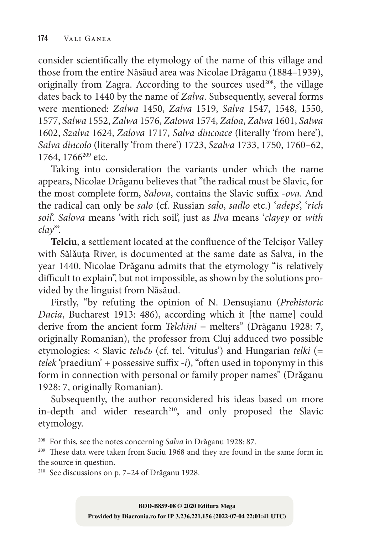consider scientifically the etymology of the name of this village and those from the entire Năsăud area was Nicolae Drăganu (1884–1939), originally from Zagra. According to the sources used $208$ , the village dates back to 1440 by the name of *Zalva*. Subsequently, several forms were mentioned: *Zalwa* 1450, *Zalva* 1519, *Salva* 1547, 1548, 1550, 1577, *Salwa* 1552, *Zalwa* 1576, *Zalowa* 1574, *Zaloa*, *Zalwa* 1601, *Salwa* 1602, *Szalva* 1624, *Zalova* 1717, *Salva dincoace* (literally 'from here'), *Salva dincolo* (literally 'from there') 1723, *Szalva* 1733, 1750, 1760–62, 1764, 1766<sup>209</sup> etc.

Taking into consideration the variants under which the name appears, Nicolae Drăganu believes that "the radical must be Slavic, for the most complete form, *Salova*, contains the Slavic suffix ‑*ova*. And the radical can only be *salo* (cf. Russian *salo*, *sadlo* etc.) '*adeps*', '*rich soil*'. *Salova* means 'with rich soil', just as *Ilva* means '*clayey* or *with clay*'".

Telciu, a settlement located at the confluence of the Telcisor Valley with Sălăuța River, is documented at the same date as Salva, in the year 1440. Nicolae Drăganu admits that the etymology "is relatively difficult to explain", but not impossible, as shown by the solutions provided by the linguist from Năsăud.

Firstly, "by refuting the opinion of N. Densușianu (*Prehistoric Dacia*, Bucharest 1913: 486), according which it [the name] could derive from the ancient form *Telchini* = melters" (Drăganu 1928: 7, originally Romanian), the professor from Cluj adduced two possible etymologies: < Slavic *telьčь* (cf. tel. 'vitulus') and Hungarian *telki* (= *telek* 'praedium' + possessive suffix *-i*), "often used in toponymy in this form in connection with personal or family proper names" (Drăganu 1928: 7, originally Romanian).

Subsequently, the author reconsidered his ideas based on more in-depth and wider research<sup>210</sup>, and only proposed the Slavic etymology.

<sup>208</sup> For this, see the notes concerning *Salva* in Drăganu 1928: 87.

<sup>209</sup> These data were taken from Suciu 1968 and they are found in the same form in the source in question.

<sup>210</sup> See discussions on p. 7–24 of Drăganu 1928.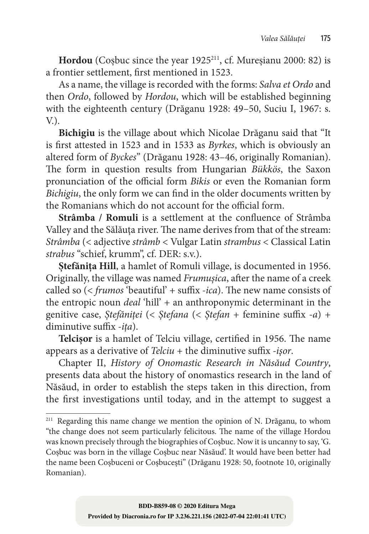Hordou (Cosbuc since the year 1925<sup>211</sup>, cf. Mureșianu 2000: 82) is a frontier settlement, first mentioned in 1523.

As a name, the village is recorded with the forms: *Salva et Ordo* and then *Ordo*, followed by *Hordou*, which will be established beginning with the eighteenth century (Drăganu 1928: 49–50, Suciu I, 1967: s.  $V<sub>1</sub>$ .

**Bichigiu** is the village about which Nicolae Drăganu said that "It is first attested in 1523 and in 1533 as *Byrkes*, which is obviously an altered form of *Byckes*" (Drăganu 1928: 43–46, originally Romanian). The form in question results from Hungarian *Bükkös*, the Saxon pronunciation of the official form *Bikis* or even the Romanian form *Bichigiu*, the only form we can find in the older documents written by the Romanians which do not account for the official form.

**Strâmba / Romuli** is a settlement at the confluence of Strâmba Valley and the Sălăuța river. The name derives from that of the stream: *Strâmba* (< adjective *strâmb* < Vulgar Latin *strambus* < Classical Latin *strabus* "schief, krumm", cf. DER: s.v.).

**Ștefănița Hill**, a hamlet of Romuli village, is documented in 1956. Originally, the village was named *Frumușica*, after the name of a creek called so (< *frumos* 'beautiful' + suffix *-ica*). The new name consists of the entropic noun *deal* 'hill' + an anthroponymic determinant in the genitive case, *Ștefăniței* (< *Ștefana* (< *Ștefan* + feminine suffix *-a*) + diminutive suffix *-ița*).

**Telcișor** is a hamlet of Telciu village, certified in 1956. The name appears as a derivative of *Telciu* + the diminutive suffix *-işor*.

Chapter II, *History of Onomastic Research in Năsăud Country*, presents data about the history of onomastics research in the land of Năsăud, in order to establish the steps taken in this direction, from the first investigations until today, and in the attempt to suggest a

<sup>&</sup>lt;sup>211</sup> Regarding this name change we mention the opinion of N. Drăganu, to whom "the change does not seem particularly felicitous. The name of the village Hordou was known precisely through the biographies of Coșbuc. Now it is uncanny to say, 'G. Coșbuc was born in the village Coșbuc near Năsăud'. It would have been better had the name been Coșbuceni or Coșbucești" (Drăganu 1928: 50, footnote 10, originally Romanian).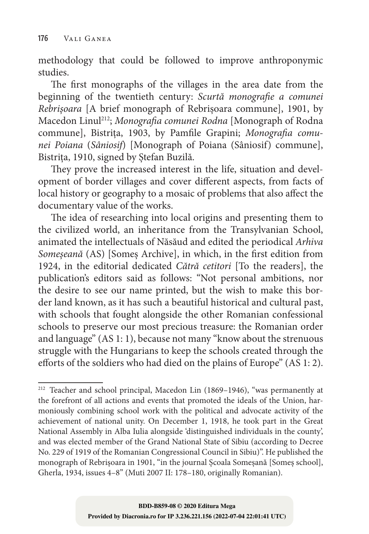methodology that could be followed to improve anthroponymic studies.

The first monographs of the villages in the area date from the beginning of the twentieth century: *Scurtă monografie a comunei Rebrișoara* [A brief monograph of Rebrișoara commune], 1901, by Macedon Linul212; *Monografia comunei Rodna* [Monograph of Rodna commune], Bistrița, 1903, by Pamfile Grapini; *Monografia comunei Poiana* (*Sâniosif*) [Monograph of Poiana (Sâniosif) commune], Bistrița, 1910, signed by Ștefan Buzilă.

They prove the increased interest in the life, situation and development of border villages and cover different aspects, from facts of local history or geography to a mosaic of problems that also affect the documentary value of the works.

The idea of researching into local origins and presenting them to the civilized world, an inheritance from the Transylvanian School, animated the intellectuals of Năsăud and edited the periodical *Arhiva Someșeană* (AS) [Someș Archive], in which, in the first edition from 1924, in the editorial dedicated *Cătră cetitori* [To the readers], the publication's editors said as follows: "Not personal ambitions, nor the desire to see our name printed, but the wish to make this border land known, as it has such a beautiful historical and cultural past, with schools that fought alongside the other Romanian confessional schools to preserve our most precious treasure: the Romanian order and language" (AS 1: 1), because not many "know about the strenuous struggle with the Hungarians to keep the schools created through the efforts of the soldiers who had died on the plains of Europe" (AS 1: 2).

<sup>212</sup> Teacher and school principal, Macedon Lin (1869–1946), "was permanently at the forefront of all actions and events that promoted the ideals of the Union, harmoniously combining school work with the political and advocate activity of the achievement of national unity. On December 1, 1918, he took part in the Great National Assembly in Alba Iulia alongside 'distinguished individuals in the county', and was elected member of the Grand National State of Sibiu (according to Decree No. 229 of 1919 of the Romanian Congressional Council in Sibiu)". He published the monograph of Rebrișoara in 1901, "in the journal Școala Someșană [Someş school], Gherla, 1934, issues 4–8" (Muti 2007 II: 178–180, originally Romanian).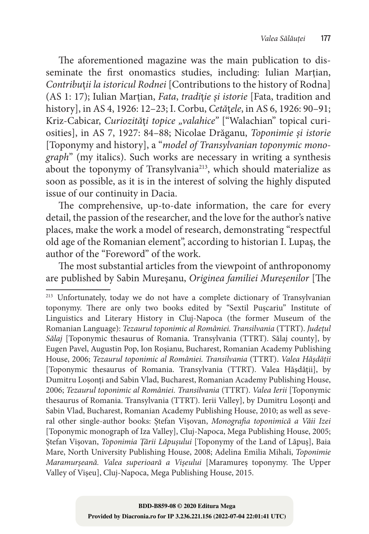The aforementioned magazine was the main publication to disseminate the first onomastics studies, including: Iulian Marțian, *Contribu*ț*ii la istoricul Rodnei* [Contributions to the history of Rodna] (AS 1: 17); Iulian Marțian, *Fata*, *tradi*ț*ie și istorie* [Fata, tradition and history], in AS 4, 1926: 12–23; I. Corbu, *Cetă*ț*ele*, in AS 6, 1926: 90–91; Kriz-Cabicar, *Curiozități topice* "valahice" ["Walachian" topical curiosities], in AS 7, 1927: 84–88; Nicolae Drăganu, *Toponimie și istorie* [Toponymy and history], a "*model of Transylvanian toponymic monograph*" (my italics). Such works are necessary in writing a synthesis about the toponymy of Transylvania<sup>213</sup>, which should materialize as soon as possible, as it is in the interest of solving the highly disputed issue of our continuity in Dacia.

The comprehensive, up-to-date information, the care for every detail, the passion of the researcher, and the love for the author's native places, make the work a model of research, demonstrating "respectful old age of the Romanian element", according to historian I. Lupaș, the author of the "Foreword" of the work.

The most substantial articles from the viewpoint of anthroponomy are published by Sabin Mureşanu, *Originea familiei Mureșenilor* [The

<sup>&</sup>lt;sup>213</sup> Unfortunately, today we do not have a complete dictionary of Transylvanian toponymy. There are only two books edited by "Sextil Pușcariu" Institute of Linguistics and Literary History in Cluj‑Napoca (the former Museum of the Romanian Language): *Tezaurul toponimic al României. Transilvania* (TTRT). *Județul Sălaj* [Toponymic thesaurus of Romania. Transylvania (TTRT). Sălaj county], by Eugen Pavel, Augustin Pop, Ion Roșianu, Bucharest, Romanian Academy Publishing House, 2006; *Tezaurul toponimic al României. Transilvania* (TTRT). *Valea Hășdății* [Toponymic thesaurus of Romania. Transylvania (TTRT). Valea Hășdății], by Dumitru Loșonți and Sabin Vlad, Bucharest, Romanian Academy Publishing House, 2006; *Tezaurul toponimic al României. Transilvania* (TTRT). *Valea Ierii* [Toponymic thesaurus of Romania. Transylvania (TTRT). Ierii Valley], by Dumitru Loșonți and Sabin Vlad, Bucharest, Romanian Academy Publishing House, 2010; as well as several other single‑author books: Ștefan Vișovan, *Monografia toponimică a Văii Izei* [Toponymic monograph of Iza Valley], Cluj-Napoca, Mega Publishing House, 2005;<br>Stefan Visovan, *Toponimia Tării Lăpusului* [Toponymy of the Land of Lăpus], Baia Ștefan Vișovan, *Toponimia Țării Lăpuşului* [Toponymy of the Land of Lăpuş], Baia Mare, North University Publishing House, 2008; Adelina Emilia Mihali, *Toponimie Maramurșeană. Valea superioară a Vișeului* [Maramureș toponymy. The Upper Valley of Vișeu], Cluj‑Napoca, Mega Publishing House, 2015.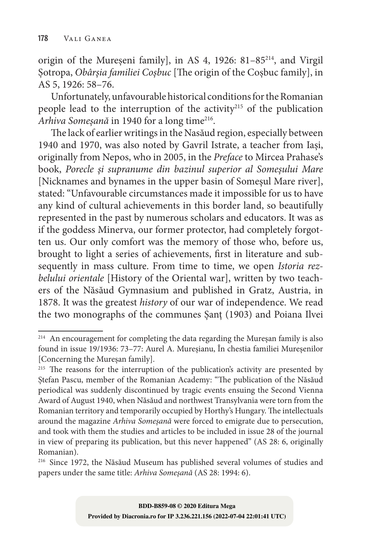origin of the Mureșeni family], in AS 4, 1926: 81–85214, and Virgil Șotropa, *Obârșia familiei Coșbuc* [The origin of the Coșbuc family], in AS 5, 1926: 58–76.

Unfortunately, unfavourable historical conditions for the Romanian people lead to the interruption of the activity<sup>215</sup> of the publication *Arhiva Someșană* in 1940 for a long time216.

The lack of earlier writings in the Nasăud region, especially between 1940 and 1970, was also noted by Gavril Istrate, a teacher from Iași, originally from Nepos, who in 2005, in the *Preface* to Mircea Prahase's book, *Porecle și supranume din bazinul superior al Someșului Mare*  [Nicknames and bynames in the upper basin of Someşul Mare river], stated: "Unfavourable circumstances made it impossible for us to have any kind of cultural achievements in this border land, so beautifully represented in the past by numerous scholars and educators. It was as if the goddess Minerva, our former protector, had completely forgotten us. Our only comfort was the memory of those who, before us, brought to light a series of achievements, first in literature and subsequently in mass culture. From time to time, we open *Istoria rezbelului orientale* [History of the Oriental war], written by two teachers of the Năsăud Gymnasium and published in Gratz, Austria, in 1878. It was the greatest *history* of our war of independence. We read the two monographs of the communes Șanț (1903) and Poiana Ilvei

<sup>214</sup> An encouragement for completing the data regarding the Mureșan family is also found in issue 19/1936: 73–77: Aurel A. Mureșianu, În chestia familiei Mureșenilor [Concerning the Muresan family].

<sup>&</sup>lt;sup>215</sup> The reasons for the interruption of the publication's activity are presented by Ștefan Pascu, member of the Romanian Academy: "The publication of the Năsăud periodical was suddenly discontinued by tragic events ensuing the Second Vienna Award of August 1940, when Năsăud and northwest Transylvania were torn from the Romanian territory and temporarily occupied by Horthy's Hungary. The intellectuals around the magazine *Arhiva Someșană* were forced to emigrate due to persecution, and took with them the studies and articles to be included in issue 28 of the journal in view of preparing its publication, but this never happened" (AS 28: 6, originally Romanian).

<sup>216</sup> Since 1972, the Năsăud Museum has published several volumes of studies and papers under the same title: *Arhiva Someșană* (AS 28: 1994: 6).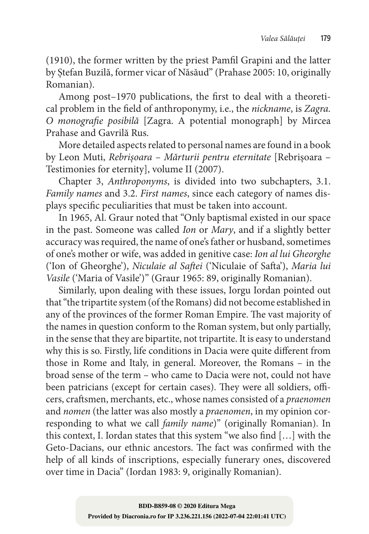(1910), the former written by the priest Pamfil Grapini and the latter by Ștefan Buzilă, former vicar of Năsăud" (Prahase 2005: 10, originally Romanian).

Among post–1970 publications, the first to deal with a theoretical problem in the field of anthroponymy, i.e., the *nickname*, is *Zagra. O monografie posibilă* [Zagra. A potential monograph] by Mircea Prahase and Gavrilă Rus.

More detailed aspects related to personal names are found in a book by Leon Muti, *Rebrișoara – Mărturii pentru eternitate* [Rebrișoara – Testimonies for eternity], volume II (2007).

Chapter 3, *Anthroponyms*, is divided into two subchapters, 3.1. *Family names* and 3.2. *First names*, since each category of names dis‑ plays specific peculiarities that must be taken into account.

In 1965, Al. Graur noted that "Only baptismal existed in our space in the past. Someone was called *Ion* or *Mary*, and if a slightly better accuracy was required, the name of one's father or husband, sometimes of one's mother or wife, was added in genitive case: *Ion al lui Gheorghe* ('Ion of Gheorghe'), *Niculaie al Saftei* ('Niculaie of Safta'), *Maria lui Vasile* ('Maria of Vasile')" (Graur 1965: 89, originally Romanian).

Similarly, upon dealing with these issues, Iorgu Iordan pointed out that "the tripartite system (of the Romans) did not become established in any of the provinces of the former Roman Empire. The vast majority of the names in question conform to the Roman system, but only partially, in the sense that they are bipartite, not tripartite. It is easy to understand why this is so. Firstly, life conditions in Dacia were quite different from those in Rome and Italy, in general. Moreover, the Romans – in the broad sense of the term – who came to Dacia were not, could not have been patricians (except for certain cases). They were all soldiers, officers, craftsmen, merchants, etc., whose names consisted of a *praenomen* and *nomen* (the latter was also mostly a *praenomen*, in my opinion corresponding to what we call *family name*)" (originally Romanian). In this context, I. Iordan states that this system "we also find […] with the Geto‑Dacians, our ethnic ancestors. The fact was confirmed with the help of all kinds of inscriptions, especially funerary ones, discovered over time in Dacia" (Iordan 1983: 9, originally Romanian).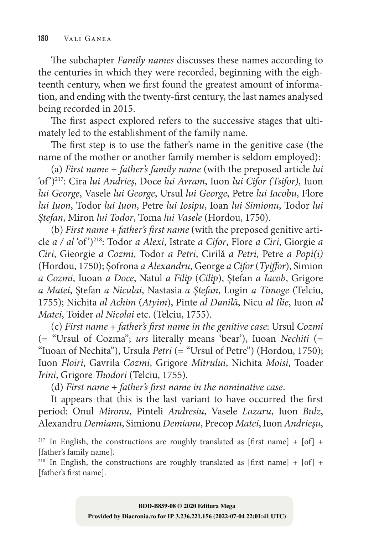The subchapter *Family names* discusses these names according to the centuries in which they were recorded, beginning with the eighteenth century, when we first found the greatest amount of information, and ending with the twenty‑first century, the last names analysed being recorded in 2015.

The first aspect explored refers to the successive stages that ultimately led to the establishment of the family name.

The first step is to use the father's name in the genitive case (the name of the mother or another family member is seldom employed):

(a) *First name* + *father's family name* (with the preposed article *lui* 'of ')217: Cira *lui Andrieș*, Doce *lui Avram*, Iuon *lui Cifor (Tsifor)*, Iuon *lui George*, Vasele *lui George*, Ursul *lui George*, Petre *lui Iacobu*, Flore *lui Iuon*, Todor *lui Iuon*, Petre *lui Iosipu*, Ioan *lui Simionu*, Todor *lui Ștefan*, Miron *lui Todor*, Toma *lui Vasele* (Hordou, 1750).

(b) *First name* + *father's first name* (with the preposed genitive article *a / al* 'of ')218: Todor *a Alexi*, Istrate *a Cifor*, Flore *a Ciri*, Giorgie *a Ciri*, Gieorgie *a Cozmi*, Todor *a Petri*, Cirilă *a Petri*, Petre *a Popi(i)*  (Hordou, 1750); Șofrona *a Alexandru*, George *a Cifor* (*Tyiffor*), Simion *a Cozmi*, Iuoan *a Doce*, Natul *a Filip* (*Cilip*), Ștefan *a Iacob*, Grigore *a Matei*, Ștefan *a Niculai*, Nastasia *a Ștefan*, Login *a Timoge* (Telciu, 1755); Nichita *al Achim* (*Atyim*), Pinte *al Danilă*, Nicu *al Ilie*, Iuon *al Matei*, Toider *al Nicolai* etc. (Telciu, 1755).

(c) *First name* + *father's first name in the genitive case*: Ursul *Cozmi* (= "Ursul of Cozma"; *urs* literally means 'bear'), Iuoan *Nechiti* (= "Iuoan of Nechita"), Ursula *Petri* (= "Ursul of Petre") (Hordou, 1750); Iuon *Floiri*, Gavrila *Cozmi*, Grigore *Mitrului*, Nichita *Moisi*, Toader *Irini*, Grigore *Thodori* (Telciu, 1755).

(d) *First name* + *father's first name in the nominative case*.

It appears that this is the last variant to have occurred the first period: Onul *Mironu*, Pinteli *Andresiu*, Vasele *Lazaru*, Iuon *Bulz*, Alexandru *Demianu*, Simionu *Demianu*, Precop *Matei*, Iuon *Andrieșu*,

<sup>&</sup>lt;sup>217</sup> In English, the constructions are roughly translated as [first name] + [of] + [father's family name].

<sup>&</sup>lt;sup>218</sup> In English, the constructions are roughly translated as [first name] + [of] + [father's first name].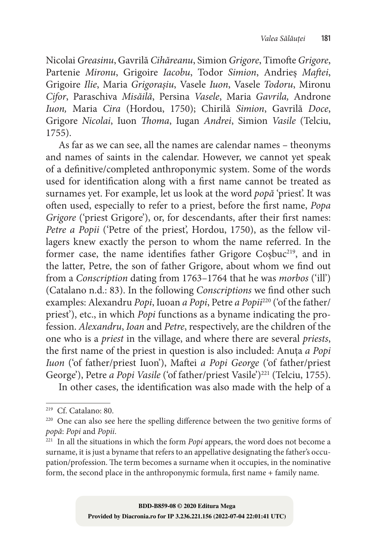Nicolai *Greasinu*, Gavrilă *Cihăreanu*, Simion *Grigore*, Timofte *Grigore*, Partenie *Mironu*, Grigoire *Iacobu*, Todor *Simion*, Andrieș *Maftei*, Grigoire *Ilie*, Maria *Grigorașiu*, Vasele *Iuon*, Vasele *Todoru*, Mironu *Cifor*, Paraschiva *Misăilă*, Persina *Vasele*, Maria *Gavrila,* Androne *Iuon,* Maria *Cira* (Hordou, 1750); Chirilă *Simion*, Gavrilă *Doce*, Grigore *Nicolai*, Iuon *Thoma*, Iugan *Andrei*, Simion *Vasile* (Telciu, 1755).

As far as we can see, all the names are calendar names – theonyms and names of saints in the calendar. However, we cannot yet speak of a definitive/completed anthroponymic system. Some of the words used for identification along with a first name cannot be treated as surnames yet. For example, let us look at the word *popă* 'priest'. It was often used, especially to refer to a priest, before the first name, *Popa Grigore* ('priest Grigore'), or, for descendants, after their first names: *Petre a Popii* ('Petre of the priest', Hordou, 1750), as the fellow villagers knew exactly the person to whom the name referred. In the former case, the name identifies father Grigore Cosbuc<sup>219</sup>, and in the latter, Petre, the son of father Grigore, about whom we find out from a *Conscription* dating from 1763–1764 that he was *morbos* ('ill') (Catalano n.d.: 83). In the following *Conscriptions* we find other such examples: Alexandru *Popi*, Iuoan *a Popi*, Petre *a Popii*220 ('of the father/ priest'), etc., in which *Popi* functions as a byname indicating the profession. *Alexandru*, *Ioan* and *Petre*, respectively, are the children of the one who is a *priest* in the village, and where there are several *priests*, the first name of the priest in question is also included: Anuța *a Popi Iuon* ('of father/priest Iuon'), Maftei *a Popi George* ('of father/priest George'), Petre *a Popi Vasile* ('of father/priest Vasile')<sup>221</sup> (Telciu, 1755).

In other cases, the identification was also made with the help of a

<sup>219</sup> Cf. Catalano: 80.

 $220$  One can also see here the spelling difference between the two genitive forms of *popă*: *Popi* and *Popii*.

<sup>221</sup> In all the situations in which the form *Popi* appears, the word does not become a surname, it is just a byname that refers to an appellative designating the father's occupation/profession. The term becomes a surname when it occupies, in the nominative form, the second place in the anthroponymic formula, first name + family name.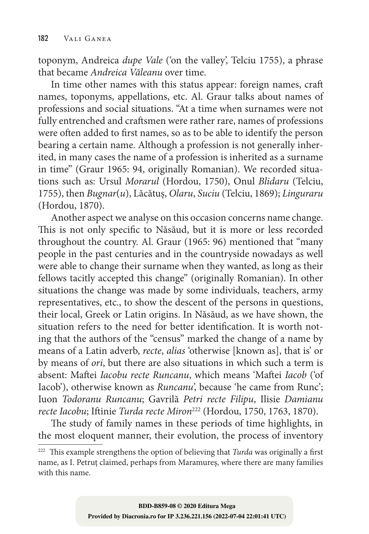toponym, Andreica *dupe Vale* ('on the valley', Telciu 1755), a phrase that became *Andreica Văleanu* over time.

In time other names with this status appear: foreign names, craft names, toponyms, appellations, etc. Al. Graur talks about names of professions and social situations. "At a time when surnames were not fully entrenched and craftsmen were rather rare, names of professions were often added to first names, so as to be able to identify the person bearing a certain name. Although a profession is not generally inherited, in many cases the name of a profession is inherited as a surname in time" (Graur 1965: 94, originally Romanian). We recorded situations such as: Ursul *Morarul* (Hordou, 1750), Onul *Blidaru* (Telciu, 1755), then *Bugnar*(*u*), Lăcătuș, *Olaru*, *Suciu* (Telciu, 1869); *Linguraru*  (Hordou, 1870).

Another aspect we analyse on this occasion concerns name change. This is not only specific to Năsăud, but it is more or less recorded throughout the country. Al. Graur (1965: 96) mentioned that "many people in the past centuries and in the countryside nowadays as well were able to change their surname when they wanted, as long as their fellows tacitly accepted this change" (originally Romanian). In other situations the change was made by some individuals, teachers, army representatives, etc., to show the descent of the persons in questions, their local, Greek or Latin origins. In Năsăud, as we have shown, the situation refers to the need for better identification. It is worth noting that the authors of the "census" marked the change of a name by means of a Latin adverb, *recte*, *alias* 'otherwise [known as], that is' or by means of *ori*, but there are also situations in which such a term is absent: Maftei *Iacobu recte Runcanu*, which means 'Maftei *Iacob* ('of Iacob'), otherwise known as *Runcanu*', because 'he came from Runc'; Iuon *Todoranu Runcanu*; Gavrilă *Petri recte Filipu*, Ilisie *Damianu recte Iacobu*; Iftinie *Turda recte Miron*222 (Hordou, 1750, 1763, 1870).

The study of family names in these periods of time highlights, in the most eloquent manner, their evolution, the process of inventory

<sup>&</sup>lt;sup>222</sup> This example strengthens the option of believing that *Turda* was originally a first name, as I. Petruț claimed, perhaps from Maramureș, where there are many families with this name.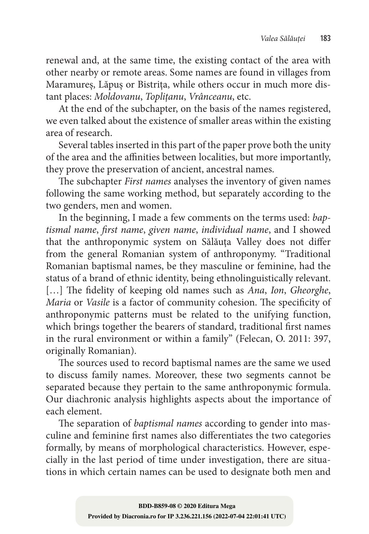renewal and, at the same time, the existing contact of the area with other nearby or remote areas. Some names are found in villages from Maramureș, Lăpuș or Bistrița, while others occur in much more distant places: *Moldovanu*, *Toplițanu*, *Vrânceanu*, etc.

At the end of the subchapter, on the basis of the names registered, we even talked about the existence of smaller areas within the existing area of research.

Several tables inserted in this part of the paper prove both the unity of the area and the affinities between localities, but more importantly, they prove the preservation of ancient, ancestral names.

The subchapter *First names* analyses the inventory of given names following the same working method, but separately according to the two genders, men and women.

In the beginning, I made a few comments on the terms used: *baptismal name*, *first name*, *given name*, *individual name*, and I showed that the anthroponymic system on Sălăuța Valley does not differ from the general Romanian system of anthroponymy. "Traditional Romanian baptismal names, be they masculine or feminine, had the status of a brand of ethnic identity, being ethnolinguistically relevant. […] The fidelity of keeping old names such as *Ana*, *Ion*, *Gheorghe*, *Maria* or *Vasile* is a factor of community cohesion. The specificity of anthroponymic patterns must be related to the unifying function, which brings together the bearers of standard, traditional first names in the rural environment or within a family" (Felecan, O. 2011: 397, originally Romanian).

The sources used to record baptismal names are the same we used to discuss family names. Moreover, these two segments cannot be separated because they pertain to the same anthroponymic formula. Our diachronic analysis highlights aspects about the importance of each element.

The separation of *baptismal names* according to gender into masculine and feminine first names also differentiates the two categories formally, by means of morphological characteristics. However, especially in the last period of time under investigation, there are situations in which certain names can be used to designate both men and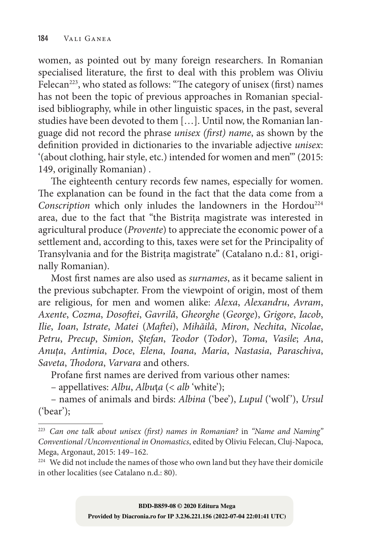women, as pointed out by many foreign researchers. In Romanian specialised literature, the first to deal with this problem was Oliviu Felecan<sup>223</sup>, who stated as follows: "The category of unisex (first) names has not been the topic of previous approaches in Romanian specialised bibliography, while in other linguistic spaces, in the past, several studies have been devoted to them [...]. Until now, the Romanian language did not record the phrase *unisex (first) name*, as shown by the definition provided in dictionaries to the invariable adjective *unisex*: '(about clothing, hair style, etc.) intended for women and men'" (2015: 149, originally Romanian) .

The eighteenth century records few names, especially for women. The explanation can be found in the fact that the data come from a *Conscription* which only inludes the landowners in the Hordou<sup>224</sup> area, due to the fact that "the Bistrița magistrate was interested in agricultural produce (*Provente*) to appreciate the economic power of a settlement and, according to this, taxes were set for the Principality of Transylvania and for the Bistrița magistrate" (Catalano n.d.: 81, originally Romanian).

Most first names are also used as *surnames*, as it became salient in the previous subchapter. From the viewpoint of origin, most of them are religious, for men and women alike: *Alexa*, *Alexandru*, *Avram*, *Axente*, *Cozma*, *Dosoftei*, *Gavrilă*, *Gheorghe* (*George*), *Grigore*, *Iacob*, *Ilie*, *Ioan*, *Istrate*, *Matei* (*Maftei*), *Mihăilă*, *Miron*, *Nechita*, *Nicolae*, *Petru*, *Precup*, *Simion*, *Ștefan*, *Teodor* (*Todor*), *Toma*, *Vasile*; *Ana*, *Anuța*, *Antimia*, *Doce*, *Elena*, *Ioana*, *Maria*, *Nastasia*, *Paraschiva*, *Saveta*, *Thodora*, *Varvara* and others.

Profane first names are derived from various other names:

– appellatives: *Albu*, *Albu*ț*a* (< *alb* 'white');

– names of animals and birds: *Albina* ('bee'), *Lupul* ('wolf '), *Ursul*  ('bear');

<sup>223</sup> *Can one talk about unisex (first) names in Romanian?* in *"Name and Naming" Conventional /Unconventional in Onomastics*, edited by Oliviu Felecan, Cluj‑Napoca, Mega, Argonaut, 2015: 149–162.

<sup>&</sup>lt;sup>224</sup> We did not include the names of those who own land but they have their domicile in other localities (see Catalano n.d.: 80).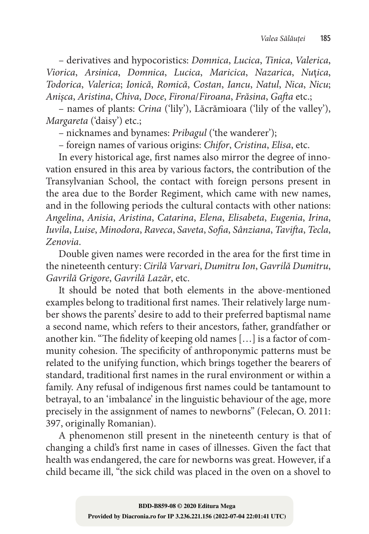– derivatives and hypocoristics: *Domnica*, *Lucica*, *Tinica*, *Valerica*, *Viorica*, *Arsinica*, *Domnica*, *Lucica*, *Maricica*, *Nazarica*, *Nu*ț*ica*, *Todorica*, *Valerica*; *Ionică*, *Romică*, *Costan*, *Iancu*, *Natul*, *Nica*, *Nicu*; *Anișca*, *Aristina*, *Chiva*, *Doce*, *Firona*/*Firoana*, *Frăsina*, *Gafta* etc.;

– names of plants: *Crina* ('lily'), Lăcrămioara ('lily of the valley'), *Margareta* ('daisy') etc.;

– nicknames and bynames: *Pribagul* ('the wanderer');

– foreign names of various origins: *Chifor*, *Cristina*, *Elisa*, etc.

In every historical age, first names also mirror the degree of innovation ensured in this area by various factors, the contribution of the Transylvanian School, the contact with foreign persons present in the area due to the Border Regiment, which came with new names, and in the following periods the cultural contacts with other nations: *Angelina*, *Anisia*, *Aristina*, *Catarina*, *Elena*, *Elisabeta*, *Eugenia*, *Irina*, *Iuvila*, *Luise*, *Minodora*, *Raveca*, *Saveta*, *Sofia*, *Sânziana*, *Tavifta*, *Tecla*, *Zenovia*.

Double given names were recorded in the area for the first time in the nineteenth century: *Cirilă Varvari*, *Dumitru Ion*, *Gavrilă Dumitru*, *Gavrilă Grigore*, *Gavrilă Lazăr*, etc.

It should be noted that both elements in the above-mentioned examples belong to traditional first names. Their relatively large number shows the parents' desire to add to their preferred baptismal name a second name, which refers to their ancestors, father, grandfather or another kin. "The fidelity of keeping old names [...] is a factor of community cohesion. The specificity of anthroponymic patterns must be related to the unifying function, which brings together the bearers of standard, traditional first names in the rural environment or within a family. Any refusal of indigenous first names could be tantamount to betrayal, to an 'imbalance' in the linguistic behaviour of the age, more precisely in the assignment of names to newborns" (Felecan, O. 2011: 397, originally Romanian).

A phenomenon still present in the nineteenth century is that of changing a child's first name in cases of illnesses. Given the fact that health was endangered, the care for newborns was great. However, if a child became ill, "the sick child was placed in the oven on a shovel to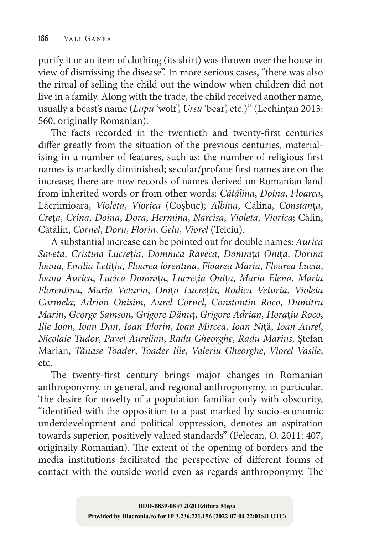purify it or an item of clothing (its shirt) was thrown over the house in view of dismissing the disease". In more serious cases, "there was also the ritual of selling the child out the window when children did not live in a family. Along with the trade, the child received another name, usually a beast's name (*Lupu* 'wolf', *Ursu* 'bear', etc.)" (Lechințan 2013: 560, originally Romanian).

The facts recorded in the twentieth and twenty-first centuries differ greatly from the situation of the previous centuries, material– ising in a number of features, such as: the number of religious first names is markedly diminished; secular/profane first names are on the increase; there are now records of names derived on Romanian land from inherited words or from other words: *Cătălina*, *Doina*, *Floarea*, Lăcrimioara, *Violeta*, *Viorica* (Coșbuc); *Albina*, Călina, *Constan*ț*a*, *Cre*ț*a*, *Crina*, *Doina*, *Dora*, *Hermina*, *Narcisa*, *Violeta*, *Viorica*; Călin, Cătălin, *Cornel*, *Doru*, *Florin*, *Gelu*, *Viorel* (Telciu).

A substantial increase can be pointed out for double names: *Aurica Saveta*, *Cristina Lucre*ț*ia*, *Domnica Raveca*, *Domni*ț*a Oni*ț*a*, *Dorina Ioana*, *Emilia Leti*ț*ia*, *Floarea lorentina*, *Floarea Maria*, *Floarea Lucia*, *Ioana Aurica*, *Lucica Domni*ț*a*, *Lucre*ț*ia Oni*ț*a*, *Maria Elena*, *Maria Florentina*, *Maria Veturia*, *Oni*ț*a Lucre*ț*ia*, *Rodica Veturia*, *Violeta Carmela*; *Adrian Onisim*, *Aurel Cornel*, *Constantin Roco*, *Dumitru Marin*, *George Samson*, *Grigore Dănu*ț, *Grigore Adrian*, *Hora*ț*iu Roco*, *Ilie Ioan*, *Ioan Dan*, *Ioan Florin*, *Ioan Mircea*, *Ioan Ni*ță, *Ioan Aurel*, *Nicolaie Tudor*, *Pavel Aurelian*, *Radu Gheorghe*, *Radu Marius*, Ștefan Marian, *Tănase Toader*, *Toader Ilie*, *Valeriu Gheorghe*, *Viorel Vasile*, etc.

The twenty-first century brings major changes in Romanian anthroponymy, in general, and regional anthroponymy, in particular. The desire for novelty of a population familiar only with obscurity, "identified with the opposition to a past marked by socio‑economic underdevelopment and political oppression, denotes an aspiration towards superior, positively valued standards" (Felecan, O. 2011: 407, originally Romanian). The extent of the opening of borders and the media institutions facilitated the perspective of different forms of contact with the outside world even as regards anthroponymy. The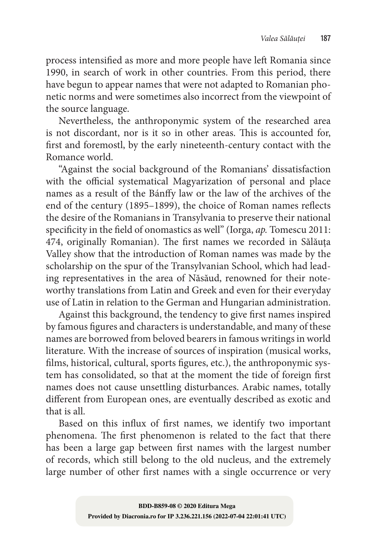process intensified as more and more people have left Romania since 1990, in search of work in other countries. From this period, there have begun to appear names that were not adapted to Romanian phonetic norms and were sometimes also incorrect from the viewpoint of the source language.

Nevertheless, the anthroponymic system of the researched area is not discordant, nor is it so in other areas. This is accounted for, first and foremostl, by the early nineteenth‑century contact with the Romance world.

"Against the social background of the Romanians' dissatisfaction with the official systematical Magyarization of personal and place names as a result of the Bánffy law or the law of the archives of the end of the century (1895–1899), the choice of Roman names reflects the desire of the Romanians in Transylvania to preserve their national specificity in the field of onomastics as well" (Iorga, *ap.* Tomescu 2011: 474, originally Romanian). The first names we recorded in Sălăuța Valley show that the introduction of Roman names was made by the scholarship on the spur of the Transylvanian School, which had leading representatives in the area of Năsăud, renowned for their noteworthy translations from Latin and Greek and even for their everyday use of Latin in relation to the German and Hungarian administration.

Against this background, the tendency to give first names inspired by famous figures and characters is understandable, and many of these names are borrowed from beloved bearers in famous writings in world literature. With the increase of sources of inspiration (musical works, films, historical, cultural, sports figures, etc.), the anthroponymic system has consolidated, so that at the moment the tide of foreign first names does not cause unsettling disturbances. Arabic names, totally different from European ones, are eventually described as exotic and that is all.

Based on this influx of first names, we identify two important phenomena. The first phenomenon is related to the fact that there has been a large gap between first names with the largest number of records, which still belong to the old nucleus, and the extremely large number of other first names with a single occurrence or very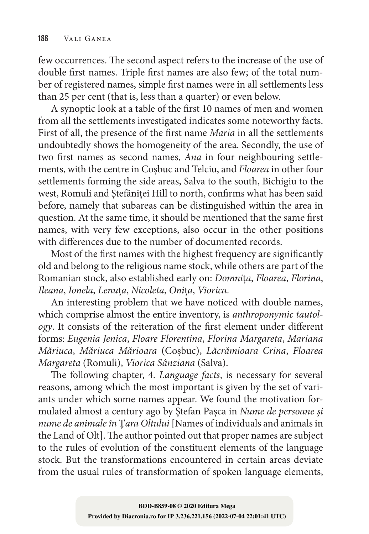few occurrences. The second aspect refers to the increase of the use of double first names. Triple first names are also few; of the total number of registered names, simple first names were in all settlements less than 25 per cent (that is, less than a quarter) or even below.

A synoptic look at a table of the first 10 names of men and women from all the settlements investigated indicates some noteworthy facts. First of all, the presence of the first name *Maria* in all the settlements undoubtedly shows the homogeneity of the area. Secondly, the use of two first names as second names, *Ana* in four neighbouring settlements, with the centre in Coșbuc and Telciu, and *Floarea* in other four settlements forming the side areas, Salva to the south, Bichigiu to the west, Romuli and Ștefăniței Hill to north, confirms what has been said before, namely that subareas can be distinguished within the area in question. At the same time, it should be mentioned that the same first names, with very few exceptions, also occur in the other positions with differences due to the number of documented records.

Most of the first names with the highest frequency are significantly old and belong to the religious name stock, while others are part of the Romanian stock, also established early on: *Domni*ț*a*, *Floarea*, *Florina*, *Ileana*, *Ionela*, *Lenu*ț*a*, *Nicoleta*, *Oni*ț*a*, *Viorica*.

An interesting problem that we have noticed with double names, which comprise almost the entire inventory, is *anthroponymic tautology*. It consists of the reiteration of the first element under different forms: *Eugenia Jenica*, *Floare Florentina*, *Florina Margareta*, *Mariana Măriuca*, *Măriuca Mărioara* (Coşbuc), *Lăcrămioara Crina*, *Floarea Margareta* (Romuli), *Viorica Sânziana* (Salva).

The following chapter, 4. *Language facts*, is necessary for several reasons, among which the most important is given by the set of variants under which some names appear. We found the motivation formulated almost a century ago by Ștefan Pașca in *Nume de persoane și nume de animale în* Ț*ara Oltului* [Names of individuals and animals in the Land of Olt]. The author pointed out that proper names are subject to the rules of evolution of the constituent elements of the language stock. But the transformations encountered in certain areas deviate from the usual rules of transformation of spoken language elements,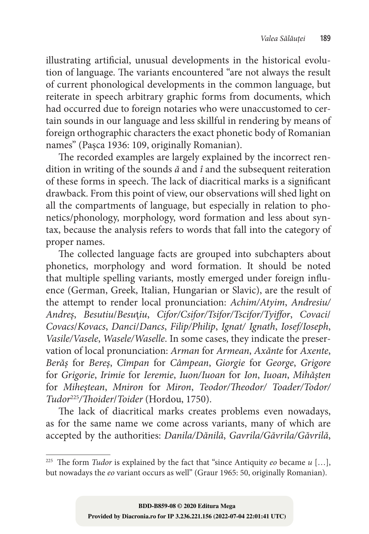illustrating artificial, unusual developments in the historical evolution of language. The variants encountered "are not always the result of current phonological developments in the common language, but reiterate in speech arbitrary graphic forms from documents, which had occurred due to foreign notaries who were unaccustomed to certain sounds in our language and less skillful in rendering by means of foreign orthographic characters the exact phonetic body of Romanian names" (Pașca 1936: 109, originally Romanian).

The recorded examples are largely explained by the incorrect rendition in writing of the sounds *ă* and *î* and the subsequent reiteration of these forms in speech. The lack of diacritical marks is a significant drawback. From this point of view, our observations will shed light on all the compartments of language, but especially in relation to phonetics/phonology, morphology, word formation and less about syntax, because the analysis refers to words that fall into the category of proper names.

The collected language facts are grouped into subchapters about phonetics, morphology and word formation. It should be noted that multiple spelling variants, mostly emerged under foreign influence (German, Greek, Italian, Hungarian or Slavic), are the result of the attempt to render local pronunciation: *Achim/Atyim*, *Andresiu/ Andreș*, *Besutiu*/*Besu*ț*iu*, *Cifor/Csifor/Tsifor/Tscifor/Tyiffor*, *Covaci*/ *Covacs*/*Kovacs*, *Danci*/*Dancs*, *Filip/Philip*, *Ignat/ Ignath*, *Iosef/Ioseph*, *Vasile/Vasele*, *Wasele/Waselle*. In some cases, they indicate the preser‑ vation of local pronunciation: *Arman* for *Armean*, *Axănte* for *Axente*, *Berăș* for *Bereș*, *Cîmpan* for *Câmpean*, *Giorgie* for *George*, *Grigore*  for *Grigorie*, *Irimie* for *Ieremie*, *Iuon/Iuoan* for *Ion*, *Iuoan*, *Mihășten*  for *Miheștean*, *Mniron* for *Miron*, *Teodor/Theodor/ Toader/Todor/ Tudor*<sup>225</sup>*/Thoider*/*Toider* (Hordou, 1750).

The lack of diacritical marks creates problems even nowadays, as for the same name we come across variants, many of which are accepted by the authorities: *Danila/Dănilă*, *Gavrila/Găvrila/Găvrilă*,

<sup>&</sup>lt;sup>225</sup> The form *Tudor* is explained by the fact that "since Antiquity *eo* became  $u$  [...], but nowadays the *eo* variant occurs as well" (Graur 1965: 50, originally Romanian).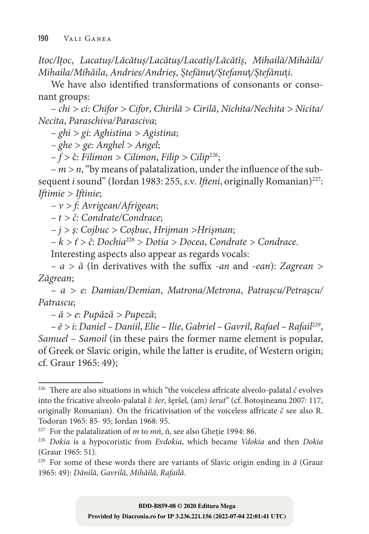*Itoc/Ițoc*, *Lacatuș/Lăcătuș/Lacătuș/Lacatîș/Lăcătîș*, *Mihailă/Mihăilă/ Mihaila/Mihăila*, *Andries/Andrieș*, *Ștefănu*ț*/Ștefanu*ț*/Ștefănu*ț*i*.

We have also identified transformations of consonants or consonant groups:

*– chi > ci*: *Chifor > Cifor*, *Chirilă > Cirilă*, *Nichita/Nechita > Nicita/ Necita*, *Paraschiva/Parasciva*;

*– ghi > gi*: *Aghistina > Agistina*;

*– ghe > ge: Anghel > Angel*;

– *f >* ĉ: *Filimon > Cilimon*, *Filip > Cilip*226;

 $-m > n$ , "by means of palatalization, under the influence of the subsequent *i* sound" (Iordan 1983: 255, *s.v. Ifteni*, originally Romanian)<sup>227</sup>: *Iftimie > Iftinie*;

– *v > f: Avrigean/Afrigean*;

*– t > č: Condrate/Condrace*;

– *j > ș: Cojbuc > Coșbuc*, *Hrijman >Hrișman*;

– *k > ť > ĉ*: *Dochia*<sup>228</sup> *> Dotia > Docea*, *Condrate > Condrace*.

Interesting aspects also appear as regards vocals:

*– a > ă* (în derivatives with the suffix ‑*an* and ‑*ean*): *Zagrean > Zăgrean*;

*– a > e*: *Damian/Demian*, *Matrona/Metrona*, *Patrașcu/Petrașcu/ Patrascu*;

*– ă > e*: *Pupăză > Pupeză*;

*– ē > i*: *Daniel – Daniil*, *Elie – Ilie*, *Gabriel – Gavril*, *Rafael – Rafail*229, *Samuel – Samoil* (in these pairs the former name element is popular, of Greek or Slavic origin, while the latter is erudite, of Western origin; cf. Graur 1965: 49);

<sup>&</sup>lt;sup>226</sup> There are also situations in which "the voiceless affricate alveolo-palatal  $\hat{c}$  evolves into the fricative alveolo‑palatal *ŝ*: *ŝer*, ŝęrŝel, (am) *ŝerut*" (cf. Botoşineanu 2007: 117, originally Romanian). On the fricativisation of the voiceless affricate *ĉ* see also R. Todoran 1965: 85‑ 95; Iordan 1968: 95.

<sup>227</sup> For the palatalization of *m* to *mń*, ń, see also Gheție 1994: 86.

<sup>228</sup> *Dokia* is a hypocoristic from *Evdokia*, which became *Vdokia* and then *Dokia* (Graur 1965: 51).

<sup>229</sup> For some of these words there are variants of Slavic origin ending in *ă* (Graur 1965: 49): *Dănilă*, *Gavrilă*, *Mihăilă*, *Rafailă*.